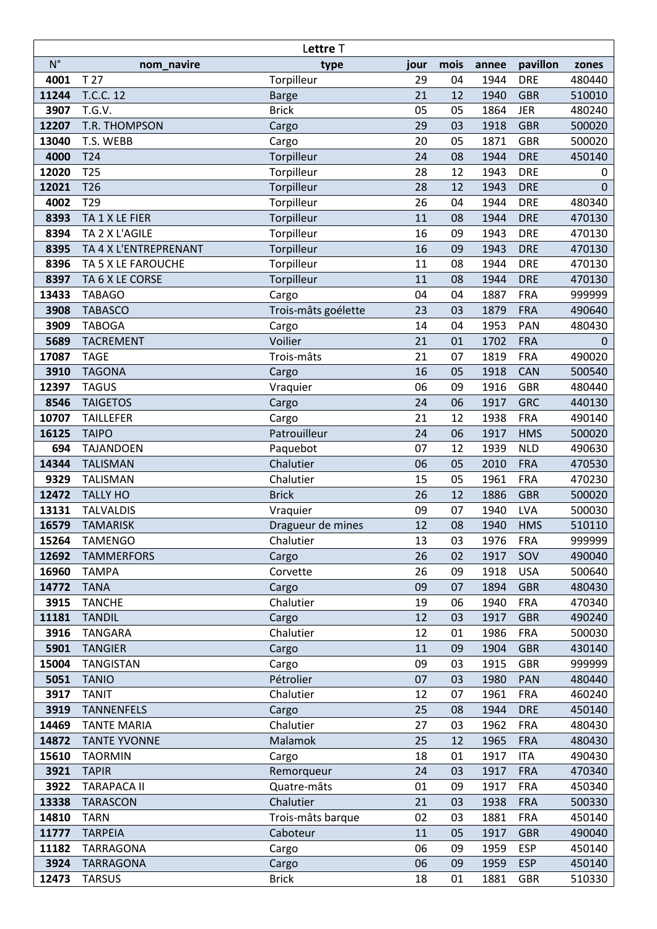|               |                                 | Lettre T            |          |          |              |                          |                  |
|---------------|---------------------------------|---------------------|----------|----------|--------------|--------------------------|------------------|
| $N^{\circ}$   | nom_navire                      | type                | jour     | mois     | annee        | pavillon                 | zones            |
| 4001          | T <sub>27</sub>                 | Torpilleur          | 29       | 04       | 1944         | <b>DRE</b>               | 480440           |
| 11244         | T.C.C. 12                       | <b>Barge</b>        | 21       | 12       | 1940         | <b>GBR</b>               | 510010           |
| 3907          | T.G.V.                          | <b>Brick</b>        | 05       | 05       | 1864         | <b>JER</b>               | 480240           |
| 12207         | T.R. THOMPSON                   | Cargo               | 29       | 03       | 1918         | <b>GBR</b>               | 500020           |
| 13040         | T.S. WEBB                       | Cargo               | 20       | 05       | 1871         | <b>GBR</b>               | 500020           |
| 4000          | T24                             | Torpilleur          | 24       | 08       | 1944         | <b>DRE</b>               | 450140           |
| 12020         | T <sub>25</sub>                 | Torpilleur          | 28       | 12       | 1943         | <b>DRE</b>               | 0                |
| 12021         | T <sub>26</sub>                 | Torpilleur          | 28       | 12       | 1943         | <b>DRE</b>               | 0                |
| 4002          | T29                             | Torpilleur          | 26       | 04       | 1944         | <b>DRE</b>               | 480340           |
| 8393          | TA 1 X LE FIER                  | Torpilleur          | 11       | 08       | 1944         | <b>DRE</b>               | 470130           |
| 8394          | TA 2 X L'AGILE                  | Torpilleur          | 16       | 09       | 1943         | <b>DRE</b>               | 470130           |
| 8395          | TA 4 X L'ENTREPRENANT           | Torpilleur          | 16       | 09       | 1943         | <b>DRE</b>               | 470130           |
| 8396          | TA 5 X LE FAROUCHE              | Torpilleur          | 11       | 08       | 1944         | <b>DRE</b>               | 470130           |
| 8397          | TA 6 X LE CORSE                 | Torpilleur          | 11       | 08       | 1944         | <b>DRE</b>               | 470130           |
| 13433         | <b>TABAGO</b>                   | Cargo               | 04       | 04       | 1887         | <b>FRA</b>               | 999999           |
| 3908          | <b>TABASCO</b>                  | Trois-mâts goélette | 23       | 03       | 1879         | <b>FRA</b>               | 490640           |
| 3909          | <b>TABOGA</b>                   | Cargo               | 14       | 04       | 1953         | <b>PAN</b>               | 480430           |
| 5689          | <b>TACREMENT</b>                | Voilier             | 21       | 01       | 1702         | <b>FRA</b>               | $\mathbf 0$      |
| 17087         | <b>TAGE</b>                     | Trois-mâts          | 21       | 07       | 1819         | <b>FRA</b>               | 490020           |
| 3910          | <b>TAGONA</b>                   | Cargo               | 16       | 05       | 1918         | CAN                      | 500540           |
| 12397         | <b>TAGUS</b>                    | Vraquier            | 06       | 09       | 1916         | <b>GBR</b>               | 480440           |
| 8546          | <b>TAIGETOS</b>                 | Cargo               | 24       | 06       | 1917         | <b>GRC</b>               | 440130           |
| 10707         | <b>TAILLEFER</b>                | Cargo               | 21       | 12       | 1938         | <b>FRA</b>               | 490140           |
| 16125         | <b>TAIPO</b>                    | Patrouilleur        | 24       | 06       | 1917         | <b>HMS</b>               | 500020           |
| 694           | <b>TAJANDOEN</b>                | Paquebot            | 07       | 12       | 1939         | <b>NLD</b>               | 490630           |
| 14344         | <b>TALISMAN</b>                 | Chalutier           | 06       | 05       | 2010         | <b>FRA</b>               | 470530           |
| 9329          | <b>TALISMAN</b>                 | Chalutier           | 15       | 05       | 1961         | <b>FRA</b>               | 470230           |
| 12472         | <b>TALLY HO</b>                 | <b>Brick</b>        | 26       | 12       | 1886         | <b>GBR</b>               | 500020           |
| 13131         | <b>TALVALDIS</b>                | Vraquier            | 09       | 07       | 1940         | <b>LVA</b>               | 500030           |
| 16579         | <b>TAMARISK</b>                 | Dragueur de mines   | 12       | 08       | 1940         | <b>HMS</b>               | 510110           |
| 15264         | <b>TAMENGO</b>                  | Chalutier           | 13       | 03       | 1976         | <b>FRA</b>               | 999999           |
| 12692         | <b>TAMMERFORS</b>               | Cargo               | 26       | 02       | 1917         | SOV                      | 490040           |
| 16960         | <b>TAMPA</b>                    | Corvette            | 26       | 09       | 1918         | <b>USA</b>               | 500640           |
| 14772         | <b>TANA</b>                     | Cargo               | 09       | 07       | 1894         | <b>GBR</b>               | 480430           |
| 3915          | <b>TANCHE</b>                   | Chalutier           | 19<br>12 | 06<br>03 | 1940         | <b>FRA</b><br><b>GBR</b> | 470340           |
| 11181<br>3916 | <b>TANDIL</b><br><b>TANGARA</b> | Cargo<br>Chalutier  | 12       | 01       | 1917<br>1986 | <b>FRA</b>               | 490240<br>500030 |
| 5901          | <b>TANGIER</b>                  |                     | 11       | 09       | 1904         | <b>GBR</b>               | 430140           |
| 15004         | <b>TANGISTAN</b>                | Cargo               | 09       | 03       | 1915         | <b>GBR</b>               | 999999           |
| 5051          | <b>TANIO</b>                    | Cargo<br>Pétrolier  | 07       | 03       | 1980         | <b>PAN</b>               | 480440           |
| 3917          | <b>TANIT</b>                    | Chalutier           | 12       | 07       | 1961         | <b>FRA</b>               | 460240           |
| 3919          | <b>TANNENFELS</b>               | Cargo               | 25       | 08       | 1944         | <b>DRE</b>               | 450140           |
| 14469         | <b>TANTE MARIA</b>              | Chalutier           | 27       | 03       | 1962         | <b>FRA</b>               | 480430           |
| 14872         | <b>TANTE YVONNE</b>             | <b>Malamok</b>      | 25       | 12       | 1965         | <b>FRA</b>               | 480430           |
| 15610         | <b>TAORMIN</b>                  | Cargo               | 18       | 01       | 1917         | <b>ITA</b>               | 490430           |
| 3921          | <b>TAPIR</b>                    | Remorqueur          | 24       | 03       | 1917         | <b>FRA</b>               | 470340           |
| 3922          | <b>TARAPACA II</b>              | Quatre-mâts         | 01       | 09       | 1917         | <b>FRA</b>               | 450340           |
| 13338         | <b>TARASCON</b>                 | Chalutier           | 21       | 03       | 1938         | <b>FRA</b>               | 500330           |
| 14810         | <b>TARN</b>                     | Trois-mâts barque   | 02       | 03       | 1881         | <b>FRA</b>               | 450140           |
| 11777         | <b>TARPEIA</b>                  | Caboteur            | 11       | 05       | 1917         | <b>GBR</b>               | 490040           |
| 11182         | TARRAGONA                       | Cargo               | 06       | 09       | 1959         | <b>ESP</b>               | 450140           |
| 3924          | <b>TARRAGONA</b>                | Cargo               | 06       | 09       | 1959         | <b>ESP</b>               | 450140           |
| 12473         | <b>TARSUS</b>                   | <b>Brick</b>        | 18       | 01       | 1881         | <b>GBR</b>               | 510330           |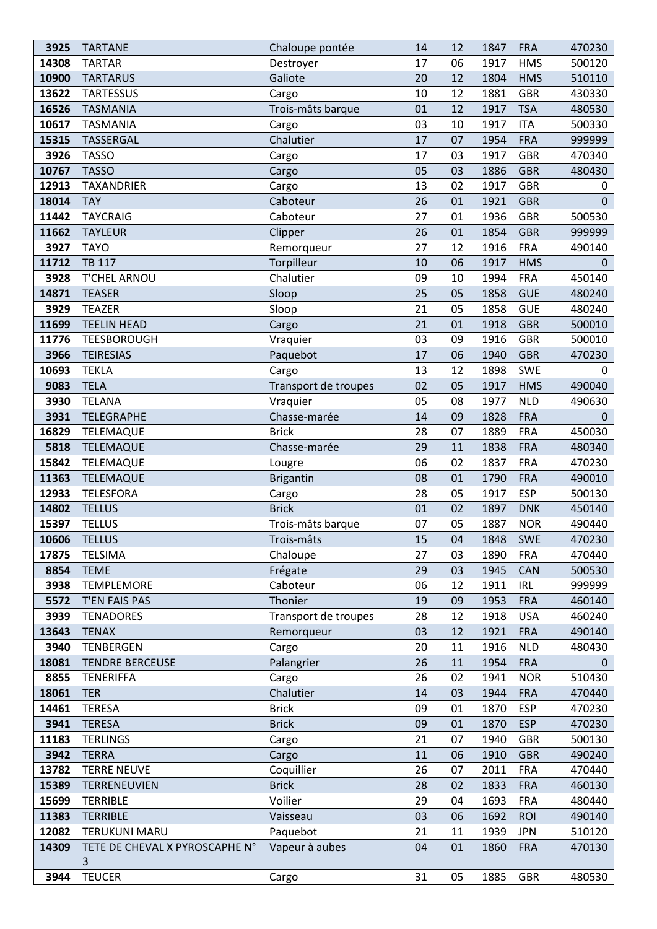| 3925  | <b>TARTANE</b>                 | Chaloupe pontée      | 14 | 12 | 1847 | <b>FRA</b> | 470230       |
|-------|--------------------------------|----------------------|----|----|------|------------|--------------|
| 14308 | <b>TARTAR</b>                  | Destroyer            | 17 | 06 | 1917 | <b>HMS</b> | 500120       |
| 10900 | <b>TARTARUS</b>                | Galiote              | 20 | 12 | 1804 | <b>HMS</b> | 510110       |
| 13622 | <b>TARTESSUS</b>               | Cargo                | 10 | 12 | 1881 | <b>GBR</b> | 430330       |
| 16526 | <b>TASMANIA</b>                | Trois-mâts barque    | 01 | 12 | 1917 | <b>TSA</b> | 480530       |
| 10617 | <b>TASMANIA</b>                | Cargo                | 03 | 10 | 1917 | <b>ITA</b> | 500330       |
| 15315 | TASSERGAL                      | Chalutier            | 17 | 07 | 1954 | <b>FRA</b> | 999999       |
| 3926  | <b>TASSO</b>                   | Cargo                | 17 | 03 | 1917 | <b>GBR</b> | 470340       |
| 10767 | <b>TASSO</b>                   | Cargo                | 05 | 03 | 1886 | <b>GBR</b> | 480430       |
| 12913 | TAXANDRIER                     | Cargo                | 13 | 02 | 1917 | <b>GBR</b> | 0            |
| 18014 | <b>TAY</b>                     | Caboteur             | 26 | 01 | 1921 | <b>GBR</b> | $\Omega$     |
| 11442 | <b>TAYCRAIG</b>                | Caboteur             | 27 | 01 | 1936 | <b>GBR</b> | 500530       |
| 11662 | <b>TAYLEUR</b>                 | Clipper              | 26 | 01 | 1854 | <b>GBR</b> | 999999       |
| 3927  | <b>TAYO</b>                    | Remorqueur           | 27 | 12 | 1916 | <b>FRA</b> | 490140       |
| 11712 | <b>TB 117</b>                  | Torpilleur           | 10 | 06 | 1917 | <b>HMS</b> | $\mathbf 0$  |
| 3928  | T'CHEL ARNOU                   | Chalutier            | 09 | 10 | 1994 | <b>FRA</b> | 450140       |
| 14871 | <b>TEASER</b>                  | Sloop                | 25 | 05 | 1858 | <b>GUE</b> | 480240       |
| 3929  | <b>TEAZER</b>                  | Sloop                | 21 | 05 | 1858 | <b>GUE</b> | 480240       |
| 11699 | <b>TEELIN HEAD</b>             | Cargo                | 21 | 01 | 1918 | <b>GBR</b> | 500010       |
| 11776 | <b>TEESBOROUGH</b>             | Vraquier             | 03 | 09 | 1916 | <b>GBR</b> | 500010       |
| 3966  | <b>TEIRESIAS</b>               | Paquebot             | 17 | 06 | 1940 | <b>GBR</b> | 470230       |
| 10693 | <b>TEKLA</b>                   | Cargo                | 13 | 12 | 1898 | SWE        | 0            |
| 9083  | <b>TELA</b>                    | Transport de troupes | 02 | 05 | 1917 | <b>HMS</b> | 490040       |
| 3930  | <b>TELANA</b>                  | Vraquier             | 05 | 08 | 1977 | <b>NLD</b> | 490630       |
| 3931  | TELEGRAPHE                     | Chasse-marée         | 14 | 09 | 1828 | <b>FRA</b> | $\Omega$     |
| 16829 | TELEMAQUE                      | <b>Brick</b>         | 28 | 07 | 1889 | <b>FRA</b> | 450030       |
| 5818  | <b>TELEMAQUE</b>               | Chasse-marée         | 29 | 11 | 1838 | <b>FRA</b> | 480340       |
| 15842 | TELEMAQUE                      | Lougre               | 06 | 02 | 1837 | <b>FRA</b> | 470230       |
| 11363 | <b>TELEMAQUE</b>               | <b>Brigantin</b>     | 08 | 01 | 1790 | <b>FRA</b> | 490010       |
| 12933 | <b>TELESFORA</b>               | Cargo                | 28 | 05 | 1917 | <b>ESP</b> | 500130       |
| 14802 | <b>TELLUS</b>                  | <b>Brick</b>         | 01 | 02 | 1897 | <b>DNK</b> | 450140       |
| 15397 | <b>TELLUS</b>                  | Trois-mâts barque    | 07 | 05 | 1887 | <b>NOR</b> | 490440       |
| 10606 | TELLUS                         | Trois-mâts           | 15 | 04 | 1848 | <b>SWE</b> | 470230       |
| 17875 | <b>TELSIMA</b>                 | Chaloupe             | 27 | 03 | 1890 | <b>FRA</b> | 470440       |
| 8854  | <b>TEME</b>                    | Frégate              | 29 | 03 | 1945 | <b>CAN</b> | 500530       |
| 3938  | <b>TEMPLEMORE</b>              | Caboteur             | 06 | 12 | 1911 | <b>IRL</b> | 999999       |
| 5572  | T'EN FAIS PAS                  | Thonier              | 19 | 09 | 1953 | <b>FRA</b> | 460140       |
| 3939  | <b>TENADORES</b>               | Transport de troupes | 28 | 12 | 1918 | <b>USA</b> | 460240       |
| 13643 | <b>TENAX</b>                   | Remorqueur           | 03 | 12 | 1921 | <b>FRA</b> | 490140       |
| 3940  | TENBERGEN                      | Cargo                | 20 | 11 | 1916 | <b>NLD</b> | 480430       |
| 18081 | <b>TENDRE BERCEUSE</b>         | Palangrier           | 26 | 11 | 1954 | <b>FRA</b> | $\mathbf{0}$ |
| 8855  | <b>TENERIFFA</b>               | Cargo                | 26 | 02 | 1941 | <b>NOR</b> | 510430       |
| 18061 | <b>TER</b>                     | Chalutier            | 14 | 03 | 1944 | <b>FRA</b> | 470440       |
| 14461 | <b>TERESA</b>                  | <b>Brick</b>         | 09 | 01 | 1870 | <b>ESP</b> | 470230       |
| 3941  | <b>TERESA</b>                  | <b>Brick</b>         | 09 | 01 | 1870 | <b>ESP</b> | 470230       |
| 11183 | <b>TERLINGS</b>                | Cargo                | 21 | 07 | 1940 | <b>GBR</b> | 500130       |
| 3942  | <b>TERRA</b>                   | Cargo                | 11 | 06 | 1910 | <b>GBR</b> | 490240       |
| 13782 | <b>TERRE NEUVE</b>             | Coquillier           | 26 | 07 | 2011 | <b>FRA</b> | 470440       |
| 15389 | TERRENEUVIEN                   | <b>Brick</b>         | 28 | 02 | 1833 | <b>FRA</b> | 460130       |
| 15699 | <b>TERRIBLE</b>                | Voilier              | 29 | 04 | 1693 | <b>FRA</b> | 480440       |
| 11383 | <b>TERRIBLE</b>                | Vaisseau             | 03 | 06 | 1692 | <b>ROI</b> | 490140       |
| 12082 | <b>TERUKUNI MARU</b>           | Paquebot             | 21 | 11 | 1939 | <b>JPN</b> | 510120       |
| 14309 | TETE DE CHEVAL X PYROSCAPHE N° | Vapeur à aubes       | 04 | 01 | 1860 | <b>FRA</b> | 470130       |
|       | 3                              |                      |    |    |      |            |              |
| 3944  | <b>TEUCER</b>                  | Cargo                | 31 | 05 | 1885 | GBR        | 480530       |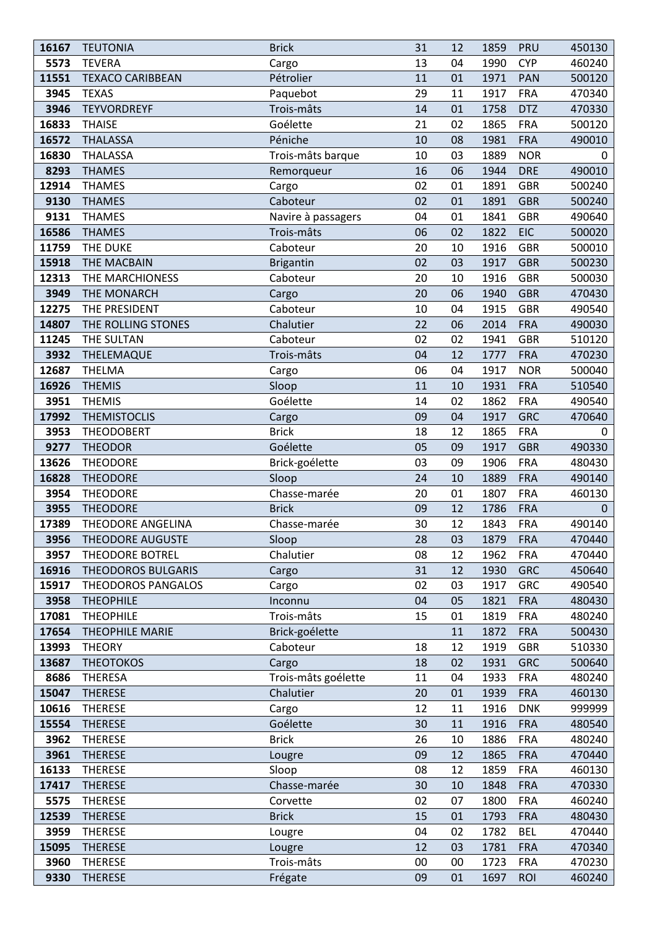| 16167 | <b>TEUTONIA</b>           | <b>Brick</b>        | 31 | 12 | 1859 | PRU        | 450130 |
|-------|---------------------------|---------------------|----|----|------|------------|--------|
| 5573  | <b>TEVERA</b>             | Cargo               | 13 | 04 | 1990 | <b>CYP</b> | 460240 |
| 11551 | <b>TEXACO CARIBBEAN</b>   | Pétrolier           | 11 | 01 | 1971 | PAN        | 500120 |
| 3945  | <b>TEXAS</b>              | Paquebot            | 29 | 11 | 1917 | <b>FRA</b> | 470340 |
| 3946  | <b>TEYVORDREYF</b>        | Trois-mâts          | 14 | 01 | 1758 | <b>DTZ</b> | 470330 |
| 16833 | <b>THAISE</b>             | Goélette            | 21 | 02 | 1865 | <b>FRA</b> | 500120 |
| 16572 | <b>THALASSA</b>           | Péniche             | 10 | 08 | 1981 | <b>FRA</b> | 490010 |
| 16830 | <b>THALASSA</b>           | Trois-mâts barque   | 10 | 03 | 1889 | <b>NOR</b> | 0      |
| 8293  | <b>THAMES</b>             | Remorqueur          | 16 | 06 | 1944 | <b>DRE</b> | 490010 |
| 12914 | <b>THAMES</b>             | Cargo               | 02 | 01 | 1891 | <b>GBR</b> | 500240 |
| 9130  | <b>THAMES</b>             | Caboteur            | 02 | 01 | 1891 | <b>GBR</b> | 500240 |
| 9131  | <b>THAMES</b>             | Navire à passagers  | 04 | 01 | 1841 | <b>GBR</b> | 490640 |
| 16586 | <b>THAMES</b>             | Trois-mâts          | 06 | 02 | 1822 | <b>EIC</b> | 500020 |
| 11759 | THE DUKE                  | Caboteur            | 20 | 10 | 1916 | <b>GBR</b> | 500010 |
| 15918 | THE MACBAIN               | <b>Brigantin</b>    | 02 | 03 | 1917 | <b>GBR</b> | 500230 |
| 12313 | THE MARCHIONESS           | Caboteur            | 20 | 10 | 1916 | <b>GBR</b> | 500030 |
| 3949  | THE MONARCH               | Cargo               | 20 | 06 | 1940 | <b>GBR</b> | 470430 |
| 12275 | THE PRESIDENT             | Caboteur            | 10 | 04 | 1915 | <b>GBR</b> | 490540 |
| 14807 | THE ROLLING STONES        | Chalutier           | 22 | 06 | 2014 | <b>FRA</b> | 490030 |
| 11245 | THE SULTAN                | Caboteur            | 02 | 02 | 1941 | <b>GBR</b> | 510120 |
| 3932  | THELEMAQUE                | Trois-mâts          | 04 | 12 | 1777 | <b>FRA</b> | 470230 |
| 12687 | <b>THELMA</b>             | Cargo               | 06 | 04 | 1917 | <b>NOR</b> | 500040 |
| 16926 | <b>THEMIS</b>             | Sloop               | 11 | 10 | 1931 | <b>FRA</b> | 510540 |
| 3951  | <b>THEMIS</b>             | Goélette            | 14 | 02 | 1862 | <b>FRA</b> | 490540 |
| 17992 | <b>THEMISTOCLIS</b>       | Cargo               | 09 | 04 | 1917 | <b>GRC</b> | 470640 |
| 3953  | THEODOBERT                | <b>Brick</b>        | 18 | 12 | 1865 | <b>FRA</b> | 0      |
| 9277  | <b>THEODOR</b>            | Goélette            | 05 | 09 | 1917 | <b>GBR</b> | 490330 |
| 13626 | <b>THEODORE</b>           | Brick-goélette      | 03 | 09 | 1906 | <b>FRA</b> | 480430 |
| 16828 | <b>THEODORE</b>           | Sloop               | 24 | 10 | 1889 | <b>FRA</b> | 490140 |
| 3954  | <b>THEODORE</b>           | Chasse-marée        | 20 | 01 | 1807 | <b>FRA</b> | 460130 |
| 3955  | <b>THEODORE</b>           | <b>Brick</b>        | 09 | 12 | 1786 | <b>FRA</b> | 0      |
| 17389 | THEODORE ANGELINA         | Chasse-marée        | 30 | 12 | 1843 | <b>FRA</b> | 490140 |
| 3956  | <b>THEODORE AUGUSTE</b>   | Sloop               | 28 | 03 | 1879 | <b>FRA</b> | 470440 |
| 3957  | <b>THEODORE BOTREL</b>    | Chalutier           | 08 | 12 | 1962 | <b>FRA</b> | 470440 |
| 16916 | <b>THEODOROS BULGARIS</b> | Cargo               | 31 | 12 | 1930 | <b>GRC</b> | 450640 |
| 15917 | THEODOROS PANGALOS        | Cargo               | 02 | 03 | 1917 | <b>GRC</b> | 490540 |
| 3958  | <b>THEOPHILE</b>          | Inconnu             | 04 | 05 | 1821 | <b>FRA</b> | 480430 |
| 17081 | <b>THEOPHILE</b>          | Trois-mâts          | 15 | 01 | 1819 | <b>FRA</b> | 480240 |
| 17654 | <b>THEOPHILE MARIE</b>    | Brick-goélette      |    | 11 | 1872 | <b>FRA</b> | 500430 |
| 13993 | <b>THEORY</b>             | Caboteur            | 18 | 12 | 1919 | <b>GBR</b> | 510330 |
| 13687 | <b>THEOTOKOS</b>          | Cargo               | 18 | 02 | 1931 | <b>GRC</b> | 500640 |
| 8686  | <b>THERESA</b>            | Trois-mâts goélette | 11 | 04 | 1933 | <b>FRA</b> | 480240 |
| 15047 | <b>THERESE</b>            | Chalutier           | 20 | 01 | 1939 | <b>FRA</b> | 460130 |
| 10616 | <b>THERESE</b>            | Cargo               | 12 | 11 | 1916 | <b>DNK</b> | 999999 |
| 15554 | <b>THERESE</b>            | Goélette            | 30 | 11 | 1916 | <b>FRA</b> | 480540 |
| 3962  | <b>THERESE</b>            | <b>Brick</b>        | 26 | 10 | 1886 | <b>FRA</b> | 480240 |
| 3961  | <b>THERESE</b>            | Lougre              | 09 | 12 | 1865 | <b>FRA</b> | 470440 |
| 16133 | <b>THERESE</b>            | Sloop               | 08 | 12 | 1859 | <b>FRA</b> | 460130 |
| 17417 | <b>THERESE</b>            | Chasse-marée        | 30 | 10 | 1848 | <b>FRA</b> | 470330 |
| 5575  | <b>THERESE</b>            | Corvette            | 02 | 07 | 1800 | <b>FRA</b> | 460240 |
| 12539 | <b>THERESE</b>            | <b>Brick</b>        | 15 | 01 | 1793 | <b>FRA</b> | 480430 |
| 3959  | <b>THERESE</b>            | Lougre              | 04 | 02 | 1782 | <b>BEL</b> | 470440 |
| 15095 | <b>THERESE</b>            | Lougre              | 12 | 03 | 1781 | <b>FRA</b> | 470340 |
| 3960  | <b>THERESE</b>            | Trois-mâts          | 00 | 00 | 1723 | <b>FRA</b> | 470230 |
| 9330  | <b>THERESE</b>            | Frégate             | 09 | 01 | 1697 | <b>ROI</b> | 460240 |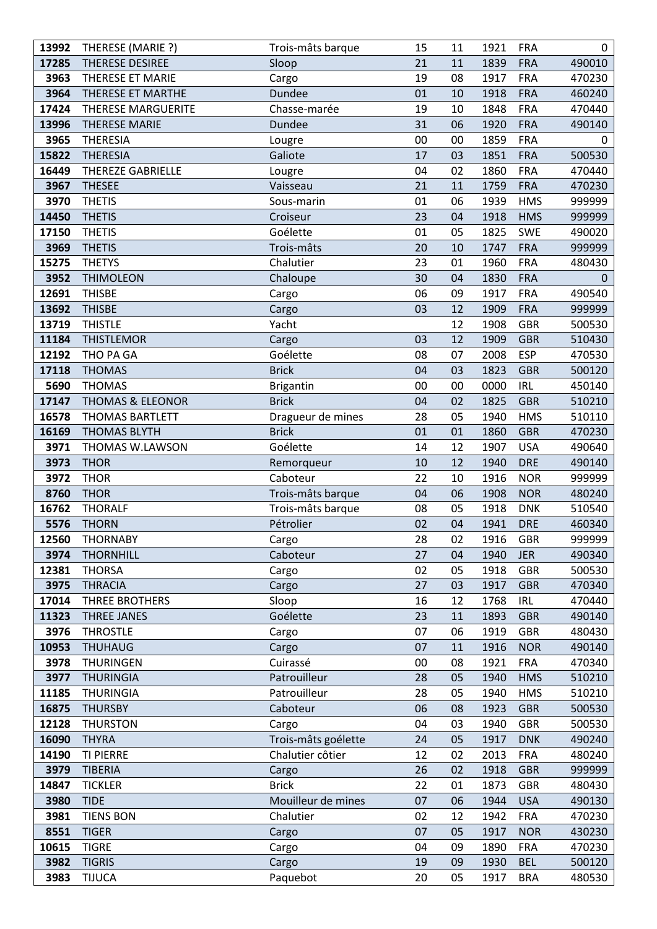| 13992 | THERESE (MARIE ?)           | Trois-mâts barque   | 15 | 11 | 1921 | <b>FRA</b> | 0            |
|-------|-----------------------------|---------------------|----|----|------|------------|--------------|
| 17285 | THERESE DESIREE             | Sloop               | 21 | 11 | 1839 | <b>FRA</b> | 490010       |
| 3963  | THERESE ET MARIE            | Cargo               | 19 | 08 | 1917 | <b>FRA</b> | 470230       |
| 3964  | THERESE ET MARTHE           | Dundee              | 01 | 10 | 1918 | <b>FRA</b> | 460240       |
| 17424 | <b>THERESE MARGUERITE</b>   | Chasse-marée        | 19 | 10 | 1848 | <b>FRA</b> | 470440       |
| 13996 | <b>THERESE MARIE</b>        | Dundee              | 31 | 06 | 1920 | <b>FRA</b> | 490140       |
| 3965  | <b>THERESIA</b>             | Lougre              | 00 | 00 | 1859 | <b>FRA</b> | 0            |
| 15822 | <b>THERESIA</b>             | Galiote             | 17 | 03 | 1851 | <b>FRA</b> | 500530       |
| 16449 | THEREZE GABRIELLE           | Lougre              | 04 | 02 | 1860 | <b>FRA</b> | 470440       |
| 3967  | <b>THESEE</b>               | Vaisseau            | 21 | 11 | 1759 | <b>FRA</b> | 470230       |
| 3970  | <b>THETIS</b>               | Sous-marin          | 01 | 06 | 1939 | <b>HMS</b> | 999999       |
| 14450 | <b>THETIS</b>               | Croiseur            | 23 | 04 | 1918 | <b>HMS</b> | 999999       |
| 17150 | <b>THETIS</b>               | Goélette            | 01 | 05 | 1825 | <b>SWE</b> | 490020       |
| 3969  | <b>THETIS</b>               | Trois-mâts          | 20 | 10 | 1747 | <b>FRA</b> | 999999       |
| 15275 | <b>THETYS</b>               | Chalutier           | 23 | 01 | 1960 | <b>FRA</b> | 480430       |
| 3952  | <b>THIMOLEON</b>            | Chaloupe            | 30 | 04 | 1830 | <b>FRA</b> | $\mathbf{0}$ |
| 12691 | <b>THISBE</b>               | Cargo               | 06 | 09 | 1917 | <b>FRA</b> | 490540       |
| 13692 | <b>THISBE</b>               | Cargo               | 03 | 12 | 1909 | <b>FRA</b> | 999999       |
| 13719 | <b>THISTLE</b>              | Yacht               |    | 12 | 1908 | <b>GBR</b> | 500530       |
| 11184 | <b>THISTLEMOR</b>           | Cargo               | 03 | 12 | 1909 | <b>GBR</b> | 510430       |
| 12192 | THO PA GA                   | Goélette            | 08 | 07 | 2008 | <b>ESP</b> | 470530       |
| 17118 | <b>THOMAS</b>               | <b>Brick</b>        | 04 | 03 | 1823 | <b>GBR</b> | 500120       |
| 5690  | <b>THOMAS</b>               | <b>Brigantin</b>    | 00 | 00 | 0000 | <b>IRL</b> | 450140       |
| 17147 | <b>THOMAS &amp; ELEONOR</b> | <b>Brick</b>        | 04 | 02 | 1825 | <b>GBR</b> | 510210       |
| 16578 | THOMAS BARTLETT             | Dragueur de mines   | 28 | 05 | 1940 | <b>HMS</b> | 510110       |
| 16169 | <b>THOMAS BLYTH</b>         | <b>Brick</b>        | 01 | 01 | 1860 | <b>GBR</b> | 470230       |
| 3971  | THOMAS W.LAWSON             | Goélette            | 14 | 12 | 1907 | <b>USA</b> | 490640       |
| 3973  | <b>THOR</b>                 | Remorqueur          | 10 | 12 | 1940 | <b>DRE</b> | 490140       |
| 3972  | <b>THOR</b>                 | Caboteur            | 22 | 10 | 1916 | <b>NOR</b> | 999999       |
| 8760  | <b>THOR</b>                 | Trois-mâts barque   | 04 | 06 | 1908 | <b>NOR</b> | 480240       |
| 16762 | <b>THORALF</b>              | Trois-mâts barque   | 08 | 05 | 1918 | <b>DNK</b> | 510540       |
| 5576  | <b>THORN</b>                | Pétrolier           | 02 | 04 | 1941 | <b>DRE</b> | 460340       |
| 12560 | <b>THORNABY</b>             | Cargo               | 28 | 02 | 1916 | <b>GBR</b> | 999999       |
| 3974  | <b>THORNHILL</b>            | Caboteur            | 27 | 04 | 1940 | <b>JER</b> | 490340       |
| 12381 | <b>THORSA</b>               | Cargo               | 02 | 05 | 1918 | <b>GBR</b> | 500530       |
| 3975  | <b>THRACIA</b>              | Cargo               | 27 | 03 | 1917 | <b>GBR</b> | 470340       |
| 17014 | THREE BROTHERS              | Sloop               | 16 | 12 | 1768 | <b>IRL</b> | 470440       |
| 11323 | <b>THREE JANES</b>          | Goélette            | 23 | 11 | 1893 | <b>GBR</b> | 490140       |
| 3976  | <b>THROSTLE</b>             | Cargo               | 07 | 06 | 1919 | <b>GBR</b> | 480430       |
| 10953 | <b>THUHAUG</b>              | Cargo               | 07 | 11 | 1916 | <b>NOR</b> | 490140       |
| 3978  | <b>THURINGEN</b>            | Cuirassé            | 00 | 08 | 1921 | <b>FRA</b> | 470340       |
| 3977  | <b>THURINGIA</b>            | Patrouilleur        | 28 | 05 | 1940 | <b>HMS</b> | 510210       |
| 11185 | <b>THURINGIA</b>            | Patrouilleur        | 28 | 05 | 1940 | <b>HMS</b> | 510210       |
| 16875 | <b>THURSBY</b>              | Caboteur            | 06 | 08 | 1923 | <b>GBR</b> | 500530       |
| 12128 | <b>THURSTON</b>             | Cargo               | 04 | 03 | 1940 | <b>GBR</b> | 500530       |
| 16090 | <b>THYRA</b>                | Trois-mâts goélette | 24 | 05 | 1917 | <b>DNK</b> | 490240       |
| 14190 | TI PIERRE                   | Chalutier côtier    | 12 | 02 | 2013 | <b>FRA</b> | 480240       |
| 3979  | <b>TIBERIA</b>              | Cargo               | 26 | 02 | 1918 | <b>GBR</b> | 999999       |
| 14847 | <b>TICKLER</b>              | <b>Brick</b>        | 22 | 01 | 1873 | <b>GBR</b> | 480430       |
| 3980  | <b>TIDE</b>                 | Mouilleur de mines  | 07 | 06 | 1944 | <b>USA</b> | 490130       |
| 3981  | <b>TIENS BON</b>            | Chalutier           | 02 | 12 | 1942 | <b>FRA</b> | 470230       |
| 8551  | <b>TIGER</b>                | Cargo               | 07 | 05 | 1917 | <b>NOR</b> | 430230       |
| 10615 | <b>TIGRE</b>                | Cargo               | 04 | 09 | 1890 | <b>FRA</b> | 470230       |
| 3982  | <b>TIGRIS</b>               | Cargo               | 19 | 09 | 1930 | <b>BEL</b> | 500120       |
| 3983  | <b>TIJUCA</b>               | Paquebot            | 20 | 05 | 1917 | <b>BRA</b> | 480530       |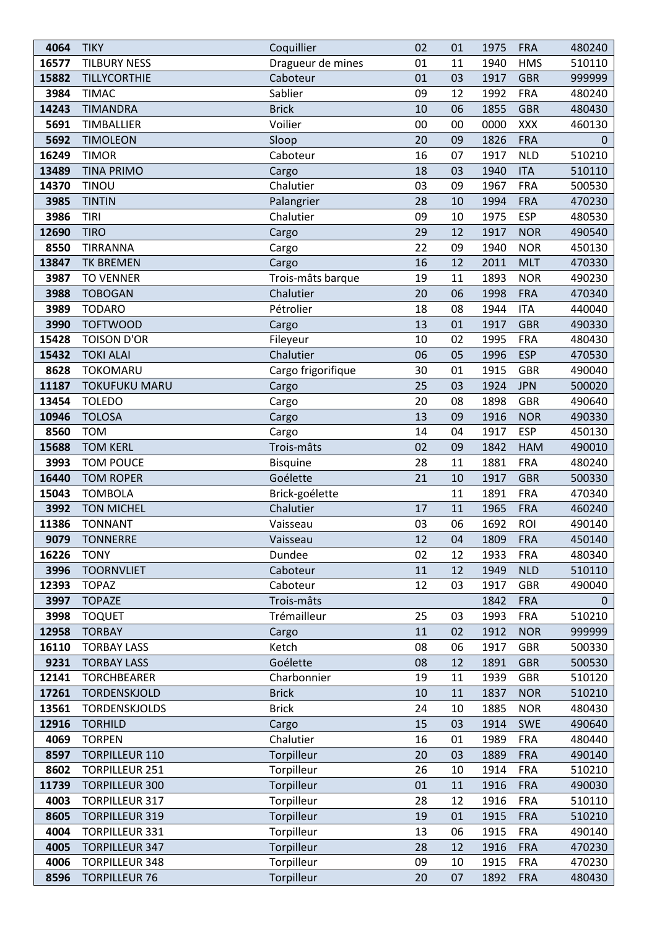| 4064  | <b>TIKY</b>           | Coquillier         | 02 | 01 | 1975 | <b>FRA</b> | 480240       |
|-------|-----------------------|--------------------|----|----|------|------------|--------------|
| 16577 | <b>TILBURY NESS</b>   | Dragueur de mines  | 01 | 11 | 1940 | <b>HMS</b> | 510110       |
| 15882 | TILLYCORTHIE          | Caboteur           | 01 | 03 | 1917 | <b>GBR</b> | 999999       |
| 3984  | <b>TIMAC</b>          | Sablier            | 09 | 12 | 1992 | <b>FRA</b> | 480240       |
| 14243 | <b>TIMANDRA</b>       | <b>Brick</b>       | 10 | 06 | 1855 | <b>GBR</b> | 480430       |
| 5691  | TIMBALLIER            | Voilier            | 00 | 00 | 0000 | XXX        | 460130       |
| 5692  | <b>TIMOLEON</b>       | Sloop              | 20 | 09 | 1826 | <b>FRA</b> | $\mathbf{0}$ |
| 16249 | <b>TIMOR</b>          | Caboteur           | 16 | 07 | 1917 | <b>NLD</b> | 510210       |
| 13489 | <b>TINA PRIMO</b>     | Cargo              | 18 | 03 | 1940 | <b>ITA</b> | 510110       |
| 14370 | TINOU                 | Chalutier          | 03 | 09 | 1967 | <b>FRA</b> | 500530       |
| 3985  | <b>TINTIN</b>         | Palangrier         | 28 | 10 | 1994 | <b>FRA</b> | 470230       |
| 3986  | <b>TIRI</b>           | Chalutier          | 09 | 10 | 1975 | <b>ESP</b> | 480530       |
| 12690 | <b>TIRO</b>           | Cargo              | 29 | 12 | 1917 | <b>NOR</b> | 490540       |
| 8550  | TIRRANNA              | Cargo              | 22 | 09 | 1940 | <b>NOR</b> | 450130       |
| 13847 | <b>TK BREMEN</b>      | Cargo              | 16 | 12 | 2011 | <b>MLT</b> | 470330       |
| 3987  | <b>TO VENNER</b>      | Trois-mâts barque  | 19 | 11 | 1893 | <b>NOR</b> | 490230       |
| 3988  | <b>TOBOGAN</b>        | Chalutier          | 20 | 06 | 1998 | <b>FRA</b> | 470340       |
| 3989  | <b>TODARO</b>         | Pétrolier          | 18 | 08 | 1944 | <b>ITA</b> | 440040       |
| 3990  | <b>TOFTWOOD</b>       | Cargo              | 13 | 01 | 1917 | <b>GBR</b> | 490330       |
| 15428 | <b>TOISON D'OR</b>    | Fileyeur           | 10 | 02 | 1995 | <b>FRA</b> | 480430       |
| 15432 | <b>TOKI ALAI</b>      | Chalutier          | 06 | 05 | 1996 | <b>ESP</b> | 470530       |
| 8628  | <b>TOKOMARU</b>       | Cargo frigorifique | 30 | 01 | 1915 | <b>GBR</b> | 490040       |
| 11187 | <b>TOKUFUKU MARU</b>  | Cargo              | 25 | 03 | 1924 | <b>JPN</b> | 500020       |
| 13454 | <b>TOLEDO</b>         | Cargo              | 20 | 08 | 1898 | <b>GBR</b> | 490640       |
| 10946 | <b>TOLOSA</b>         | Cargo              | 13 | 09 | 1916 | <b>NOR</b> | 490330       |
| 8560  | <b>TOM</b>            | Cargo              | 14 | 04 | 1917 | <b>ESP</b> | 450130       |
| 15688 | <b>TOM KERL</b>       | Trois-mâts         | 02 | 09 | 1842 | HAM        | 490010       |
| 3993  | <b>TOM POUCE</b>      | <b>Bisquine</b>    | 28 | 11 | 1881 | <b>FRA</b> | 480240       |
| 16440 | <b>TOM ROPER</b>      | Goélette           | 21 | 10 | 1917 | <b>GBR</b> | 500330       |
| 15043 | <b>TOMBOLA</b>        | Brick-goélette     |    | 11 | 1891 | <b>FRA</b> | 470340       |
| 3992  | <b>TON MICHEL</b>     | Chalutier          | 17 | 11 | 1965 | <b>FRA</b> | 460240       |
| 11386 | <b>TONNANT</b>        | Vaisseau           | 03 | 06 | 1692 | <b>ROI</b> | 490140       |
| 9079  | TONNERRE              | Vaisseau           | 12 | 04 | 1809 | <b>FRA</b> | 450140       |
| 16226 | <b>TONY</b>           | Dundee             | 02 | 12 | 1933 | <b>FRA</b> | 480340       |
| 3996  | <b>TOORNVLIET</b>     | Caboteur           | 11 | 12 | 1949 | <b>NLD</b> | 510110       |
| 12393 | <b>TOPAZ</b>          | Caboteur           | 12 | 03 | 1917 | <b>GBR</b> | 490040       |
| 3997  | <b>TOPAZE</b>         | Trois-mâts         |    |    | 1842 | <b>FRA</b> | 0            |
| 3998  | <b>TOQUET</b>         | Trémailleur        | 25 | 03 | 1993 | <b>FRA</b> | 510210       |
| 12958 | <b>TORBAY</b>         | Cargo              | 11 | 02 | 1912 | <b>NOR</b> | 999999       |
| 16110 | <b>TORBAY LASS</b>    | Ketch              | 08 | 06 | 1917 | <b>GBR</b> | 500330       |
| 9231  | <b>TORBAY LASS</b>    | Goélette           | 08 | 12 | 1891 | <b>GBR</b> | 500530       |
| 12141 | <b>TORCHBEARER</b>    | Charbonnier        | 19 | 11 | 1939 | <b>GBR</b> | 510120       |
| 17261 | TORDENSKJOLD          | <b>Brick</b>       | 10 | 11 | 1837 | <b>NOR</b> | 510210       |
| 13561 | <b>TORDENSKJOLDS</b>  | <b>Brick</b>       | 24 | 10 | 1885 | <b>NOR</b> | 480430       |
| 12916 | <b>TORHILD</b>        | Cargo              | 15 | 03 | 1914 | <b>SWE</b> | 490640       |
| 4069  | <b>TORPEN</b>         | Chalutier          | 16 | 01 | 1989 | <b>FRA</b> | 480440       |
| 8597  | <b>TORPILLEUR 110</b> | Torpilleur         | 20 | 03 | 1889 | <b>FRA</b> | 490140       |
| 8602  | <b>TORPILLEUR 251</b> | Torpilleur         | 26 | 10 | 1914 | <b>FRA</b> | 510210       |
| 11739 | <b>TORPILLEUR 300</b> | Torpilleur         | 01 | 11 | 1916 | <b>FRA</b> | 490030       |
| 4003  | <b>TORPILLEUR 317</b> | Torpilleur         | 28 | 12 | 1916 | <b>FRA</b> | 510110       |
| 8605  | <b>TORPILLEUR 319</b> | Torpilleur         | 19 | 01 | 1915 | <b>FRA</b> | 510210       |
| 4004  | <b>TORPILLEUR 331</b> | Torpilleur         | 13 | 06 | 1915 | <b>FRA</b> | 490140       |
| 4005  | <b>TORPILLEUR 347</b> | Torpilleur         | 28 | 12 | 1916 | <b>FRA</b> | 470230       |
| 4006  | <b>TORPILLEUR 348</b> | Torpilleur         | 09 | 10 | 1915 | <b>FRA</b> | 470230       |
| 8596  | <b>TORPILLEUR 76</b>  | Torpilleur         | 20 | 07 | 1892 | <b>FRA</b> | 480430       |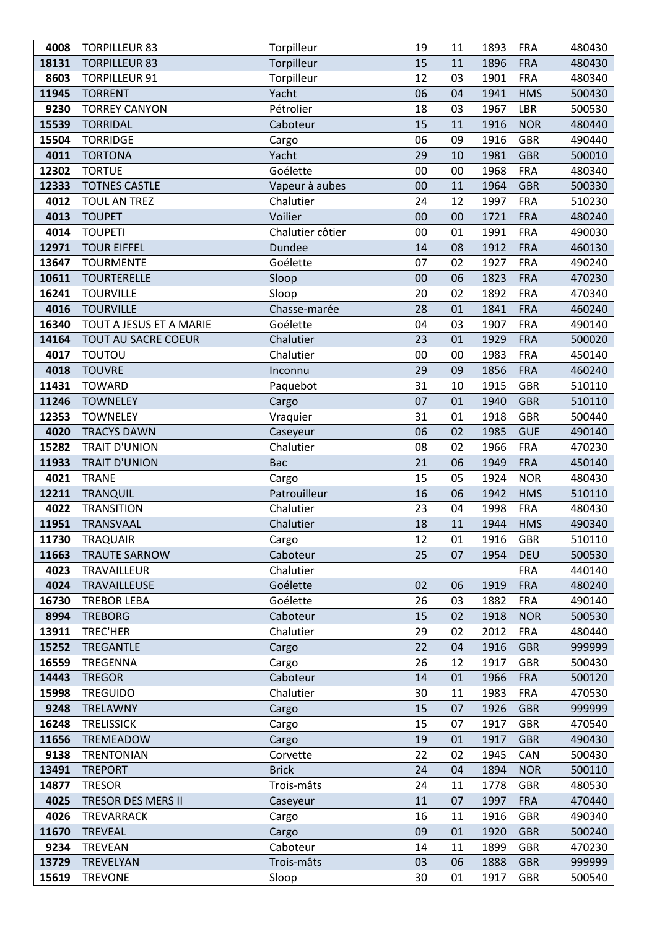| 4008  | <b>TORPILLEUR 83</b>       | Torpilleur       | 19 | 11 | 1893 | <b>FRA</b> | 480430 |
|-------|----------------------------|------------------|----|----|------|------------|--------|
| 18131 | <b>TORPILLEUR 83</b>       | Torpilleur       | 15 | 11 | 1896 | <b>FRA</b> | 480430 |
| 8603  | <b>TORPILLEUR 91</b>       | Torpilleur       | 12 | 03 | 1901 | <b>FRA</b> | 480340 |
| 11945 | <b>TORRENT</b>             | Yacht            | 06 | 04 | 1941 | <b>HMS</b> | 500430 |
| 9230  | <b>TORREY CANYON</b>       | Pétrolier        | 18 | 03 | 1967 | <b>LBR</b> | 500530 |
| 15539 | <b>TORRIDAL</b>            | Caboteur         | 15 | 11 | 1916 | <b>NOR</b> | 480440 |
| 15504 | <b>TORRIDGE</b>            | Cargo            | 06 | 09 | 1916 | <b>GBR</b> | 490440 |
| 4011  | <b>TORTONA</b>             | Yacht            | 29 | 10 | 1981 | <b>GBR</b> | 500010 |
| 12302 | <b>TORTUE</b>              | Goélette         | 00 | 00 | 1968 | <b>FRA</b> | 480340 |
| 12333 | <b>TOTNES CASTLE</b>       | Vapeur à aubes   | 00 | 11 | 1964 | <b>GBR</b> | 500330 |
| 4012  | TOUL AN TREZ               | Chalutier        | 24 | 12 | 1997 | <b>FRA</b> | 510230 |
| 4013  | <b>TOUPET</b>              | Voilier          | 00 | 00 | 1721 | <b>FRA</b> | 480240 |
| 4014  | <b>TOUPETI</b>             | Chalutier côtier | 00 | 01 | 1991 | <b>FRA</b> | 490030 |
| 12971 | <b>TOUR EIFFEL</b>         | Dundee           | 14 | 08 | 1912 | <b>FRA</b> | 460130 |
| 13647 | <b>TOURMENTE</b>           | Goélette         | 07 | 02 | 1927 | <b>FRA</b> | 490240 |
| 10611 | <b>TOURTERELLE</b>         | Sloop            | 00 | 06 | 1823 | <b>FRA</b> | 470230 |
| 16241 | <b>TOURVILLE</b>           | Sloop            | 20 | 02 | 1892 | <b>FRA</b> | 470340 |
| 4016  | <b>TOURVILLE</b>           | Chasse-marée     | 28 | 01 | 1841 | <b>FRA</b> | 460240 |
| 16340 | TOUT A JESUS ET A MARIE    | Goélette         | 04 | 03 | 1907 | <b>FRA</b> | 490140 |
| 14164 | <b>TOUT AU SACRE COEUR</b> | Chalutier        | 23 | 01 | 1929 | <b>FRA</b> | 500020 |
| 4017  | <b>TOUTOU</b>              | Chalutier        | 00 | 00 | 1983 | <b>FRA</b> | 450140 |
| 4018  | <b>TOUVRE</b>              | Inconnu          | 29 | 09 | 1856 | <b>FRA</b> | 460240 |
| 11431 | <b>TOWARD</b>              | Paquebot         | 31 | 10 | 1915 | <b>GBR</b> | 510110 |
| 11246 | <b>TOWNELEY</b>            | Cargo            | 07 | 01 | 1940 | <b>GBR</b> | 510110 |
| 12353 | <b>TOWNELEY</b>            | Vraquier         | 31 | 01 | 1918 | <b>GBR</b> | 500440 |
| 4020  | <b>TRACYS DAWN</b>         | Caseyeur         | 06 | 02 | 1985 | <b>GUE</b> | 490140 |
| 15282 | <b>TRAIT D'UNION</b>       | Chalutier        | 08 | 02 | 1966 | <b>FRA</b> | 470230 |
| 11933 | <b>TRAIT D'UNION</b>       | Bac              | 21 | 06 | 1949 | <b>FRA</b> | 450140 |
| 4021  | <b>TRANE</b>               | Cargo            | 15 | 05 | 1924 | <b>NOR</b> | 480430 |
| 12211 | <b>TRANQUIL</b>            | Patrouilleur     | 16 | 06 | 1942 | <b>HMS</b> | 510110 |
| 4022  | <b>TRANSITION</b>          | Chalutier        | 23 | 04 | 1998 | <b>FRA</b> | 480430 |
| 11951 | TRANSVAAL                  | Chalutier        | 18 | 11 | 1944 | <b>HMS</b> | 490340 |
| 11730 | TRAQUAIR                   | Cargo            | 12 | 01 | 1916 | <b>GBR</b> | 510110 |
| 11663 | <b>TRAUTE SARNOW</b>       | Caboteur         | 25 | 07 | 1954 | <b>DEU</b> | 500530 |
| 4023  | TRAVAILLEUR                | Chalutier        |    |    |      | <b>FRA</b> | 440140 |
| 4024  | TRAVAILLEUSE               | Goélette         | 02 | 06 | 1919 | <b>FRA</b> | 480240 |
| 16730 | <b>TREBOR LEBA</b>         | Goélette         | 26 | 03 | 1882 | <b>FRA</b> | 490140 |
| 8994  | <b>TREBORG</b>             | Caboteur         | 15 | 02 | 1918 | <b>NOR</b> | 500530 |
| 13911 | TREC'HER                   | Chalutier        | 29 | 02 | 2012 | <b>FRA</b> | 480440 |
| 15252 | <b>TREGANTLE</b>           | Cargo            | 22 | 04 | 1916 | <b>GBR</b> | 999999 |
| 16559 | TREGENNA                   | Cargo            | 26 | 12 | 1917 | <b>GBR</b> | 500430 |
| 14443 | <b>TREGOR</b>              | Caboteur         | 14 | 01 | 1966 | <b>FRA</b> | 500120 |
| 15998 | <b>TREGUIDO</b>            | Chalutier        | 30 | 11 | 1983 | <b>FRA</b> | 470530 |
| 9248  | TRELAWNY                   | Cargo            | 15 | 07 | 1926 | <b>GBR</b> | 999999 |
| 16248 | <b>TRELISSICK</b>          | Cargo            | 15 | 07 | 1917 | <b>GBR</b> | 470540 |
| 11656 | <b>TREMEADOW</b>           | Cargo            | 19 | 01 | 1917 | <b>GBR</b> | 490430 |
| 9138  | <b>TRENTONIAN</b>          | Corvette         | 22 | 02 | 1945 | CAN        | 500430 |
| 13491 | <b>TREPORT</b>             | <b>Brick</b>     | 24 | 04 | 1894 | <b>NOR</b> | 500110 |
| 14877 | <b>TRESOR</b>              | Trois-mâts       | 24 | 11 | 1778 | <b>GBR</b> | 480530 |
| 4025  | <b>TRESOR DES MERS II</b>  | Caseyeur         | 11 | 07 | 1997 | <b>FRA</b> | 470440 |
| 4026  | TREVARRACK                 | Cargo            | 16 | 11 | 1916 | <b>GBR</b> | 490340 |
| 11670 | <b>TREVEAL</b>             | Cargo            | 09 | 01 | 1920 | <b>GBR</b> | 500240 |
| 9234  | <b>TREVEAN</b>             | Caboteur         | 14 | 11 | 1899 | <b>GBR</b> | 470230 |
| 13729 | TREVELYAN                  | Trois-mâts       | 03 | 06 | 1888 | <b>GBR</b> | 999999 |
| 15619 | <b>TREVONE</b>             | Sloop            | 30 | 01 | 1917 | <b>GBR</b> | 500540 |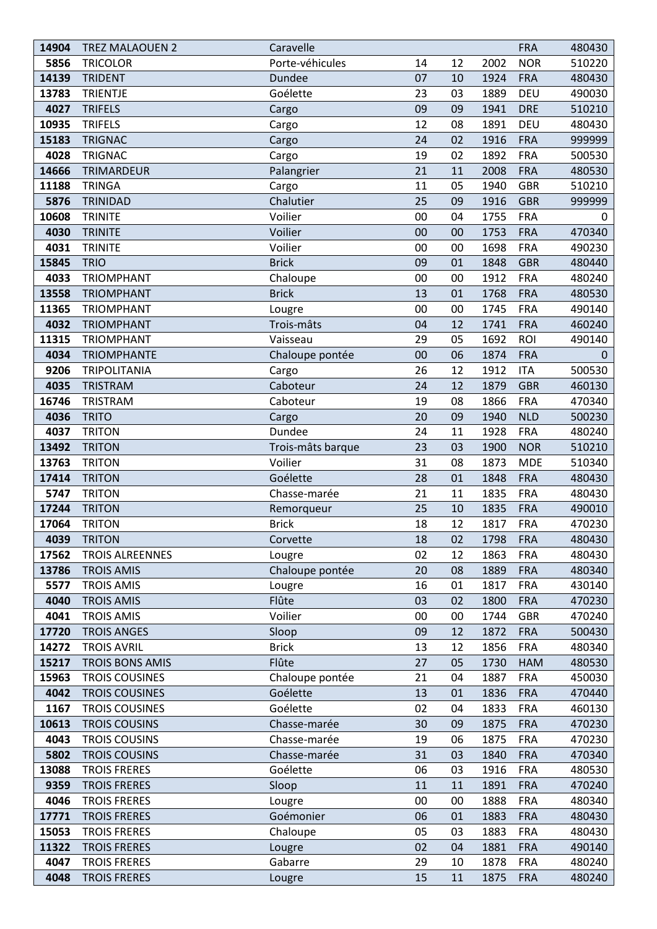| 14904 | <b>TREZ MALAOUEN 2</b> | Caravelle         |    |    |      | <b>FRA</b> | 480430       |
|-------|------------------------|-------------------|----|----|------|------------|--------------|
| 5856  | <b>TRICOLOR</b>        | Porte-véhicules   | 14 | 12 | 2002 | <b>NOR</b> | 510220       |
| 14139 | <b>TRIDENT</b>         | <b>Dundee</b>     | 07 | 10 | 1924 | <b>FRA</b> | 480430       |
| 13783 | <b>TRIENTJE</b>        | Goélette          | 23 | 03 | 1889 | DEU        | 490030       |
| 4027  | <b>TRIFELS</b>         | Cargo             | 09 | 09 | 1941 | <b>DRE</b> | 510210       |
| 10935 | <b>TRIFELS</b>         | Cargo             | 12 | 08 | 1891 | DEU        | 480430       |
| 15183 | <b>TRIGNAC</b>         | Cargo             | 24 | 02 | 1916 | <b>FRA</b> | 999999       |
| 4028  | <b>TRIGNAC</b>         | Cargo             | 19 | 02 | 1892 | <b>FRA</b> | 500530       |
| 14666 | TRIMARDEUR             | Palangrier        | 21 | 11 | 2008 | <b>FRA</b> | 480530       |
| 11188 | <b>TRINGA</b>          | Cargo             | 11 | 05 | 1940 | <b>GBR</b> | 510210       |
| 5876  | TRINIDAD               | Chalutier         | 25 | 09 | 1916 | <b>GBR</b> | 999999       |
| 10608 | <b>TRINITE</b>         | Voilier           | 00 | 04 | 1755 | <b>FRA</b> | 0            |
| 4030  | <b>TRINITE</b>         | Voilier           | 00 | 00 | 1753 | <b>FRA</b> | 470340       |
| 4031  | <b>TRINITE</b>         | Voilier           | 00 | 00 | 1698 | <b>FRA</b> | 490230       |
| 15845 | <b>TRIO</b>            | <b>Brick</b>      | 09 | 01 | 1848 | <b>GBR</b> | 480440       |
| 4033  | <b>TRIOMPHANT</b>      | Chaloupe          | 00 | 00 | 1912 | <b>FRA</b> | 480240       |
| 13558 | <b>TRIOMPHANT</b>      | <b>Brick</b>      | 13 | 01 | 1768 | <b>FRA</b> | 480530       |
| 11365 | <b>TRIOMPHANT</b>      | Lougre            | 00 | 00 | 1745 | <b>FRA</b> | 490140       |
| 4032  | <b>TRIOMPHANT</b>      | Trois-mâts        | 04 | 12 | 1741 | <b>FRA</b> | 460240       |
| 11315 | <b>TRIOMPHANT</b>      | Vaisseau          | 29 | 05 | 1692 | ROI        | 490140       |
| 4034  | <b>TRIOMPHANTE</b>     | Chaloupe pontée   | 00 | 06 | 1874 | <b>FRA</b> | $\mathbf{0}$ |
| 9206  | <b>TRIPOLITANIA</b>    | Cargo             | 26 | 12 | 1912 | <b>ITA</b> | 500530       |
| 4035  | TRISTRAM               | Caboteur          | 24 | 12 | 1879 | <b>GBR</b> | 460130       |
| 16746 | TRISTRAM               | Caboteur          | 19 | 08 | 1866 | <b>FRA</b> | 470340       |
| 4036  | <b>TRITO</b>           | Cargo             | 20 | 09 | 1940 | <b>NLD</b> | 500230       |
| 4037  | <b>TRITON</b>          | Dundee            | 24 | 11 | 1928 | <b>FRA</b> | 480240       |
| 13492 | <b>TRITON</b>          | Trois-mâts barque | 23 | 03 | 1900 | <b>NOR</b> | 510210       |
| 13763 | <b>TRITON</b>          | Voilier           | 31 | 08 | 1873 | <b>MDE</b> | 510340       |
| 17414 | <b>TRITON</b>          | Goélette          | 28 | 01 | 1848 | <b>FRA</b> | 480430       |
| 5747  | <b>TRITON</b>          | Chasse-marée      | 21 | 11 | 1835 | <b>FRA</b> | 480430       |
| 17244 | <b>TRITON</b>          | Remorqueur        | 25 | 10 | 1835 | <b>FRA</b> | 490010       |
| 17064 | <b>TRITON</b>          | <b>Brick</b>      | 18 | 12 | 1817 | <b>FRA</b> | 470230       |
| 4039  | <b>TRITON</b>          | Corvette          | 18 | 02 | 1798 | <b>FRA</b> | 480430       |
| 17562 | <b>TROIS ALREENNES</b> | Lougre            | 02 | 12 | 1863 | <b>FRA</b> | 480430       |
| 13786 | <b>TROIS AMIS</b>      | Chaloupe pontée   | 20 | 08 | 1889 | <b>FRA</b> | 480340       |
| 5577  | <b>TROIS AMIS</b>      | Lougre            | 16 | 01 | 1817 | <b>FRA</b> | 430140       |
| 4040  | <b>TROIS AMIS</b>      | Flûte             | 03 | 02 | 1800 | <b>FRA</b> | 470230       |
| 4041  | <b>TROIS AMIS</b>      | Voilier           | 00 | 00 | 1744 | <b>GBR</b> | 470240       |
| 17720 | <b>TROIS ANGES</b>     | Sloop             | 09 | 12 | 1872 | <b>FRA</b> | 500430       |
| 14272 | <b>TROIS AVRIL</b>     | <b>Brick</b>      | 13 | 12 | 1856 | <b>FRA</b> | 480340       |
| 15217 | <b>TROIS BONS AMIS</b> | Flûte             | 27 | 05 | 1730 | <b>HAM</b> | 480530       |
| 15963 | <b>TROIS COUSINES</b>  | Chaloupe pontée   | 21 | 04 | 1887 | <b>FRA</b> | 450030       |
| 4042  | <b>TROIS COUSINES</b>  | Goélette          | 13 | 01 | 1836 | <b>FRA</b> | 470440       |
| 1167  | <b>TROIS COUSINES</b>  | Goélette          | 02 | 04 | 1833 | <b>FRA</b> | 460130       |
| 10613 | <b>TROIS COUSINS</b>   | Chasse-marée      | 30 | 09 | 1875 | <b>FRA</b> | 470230       |
| 4043  | <b>TROIS COUSINS</b>   | Chasse-marée      | 19 | 06 | 1875 | <b>FRA</b> | 470230       |
| 5802  | <b>TROIS COUSINS</b>   | Chasse-marée      | 31 | 03 | 1840 | <b>FRA</b> | 470340       |
| 13088 | <b>TROIS FRERES</b>    | Goélette          | 06 | 03 | 1916 | <b>FRA</b> | 480530       |
| 9359  | <b>TROIS FRERES</b>    | Sloop             | 11 | 11 | 1891 | <b>FRA</b> | 470240       |
| 4046  | <b>TROIS FRERES</b>    | Lougre            | 00 | 00 | 1888 | <b>FRA</b> | 480340       |
| 17771 | <b>TROIS FRERES</b>    | Goémonier         | 06 | 01 | 1883 | <b>FRA</b> | 480430       |
| 15053 | <b>TROIS FRERES</b>    | Chaloupe          | 05 | 03 | 1883 | <b>FRA</b> | 480430       |
| 11322 | <b>TROIS FRERES</b>    | Lougre            | 02 | 04 | 1881 | <b>FRA</b> | 490140       |
| 4047  | <b>TROIS FRERES</b>    | Gabarre           | 29 | 10 | 1878 | <b>FRA</b> | 480240       |
| 4048  | <b>TROIS FRERES</b>    | Lougre            | 15 | 11 | 1875 | <b>FRA</b> | 480240       |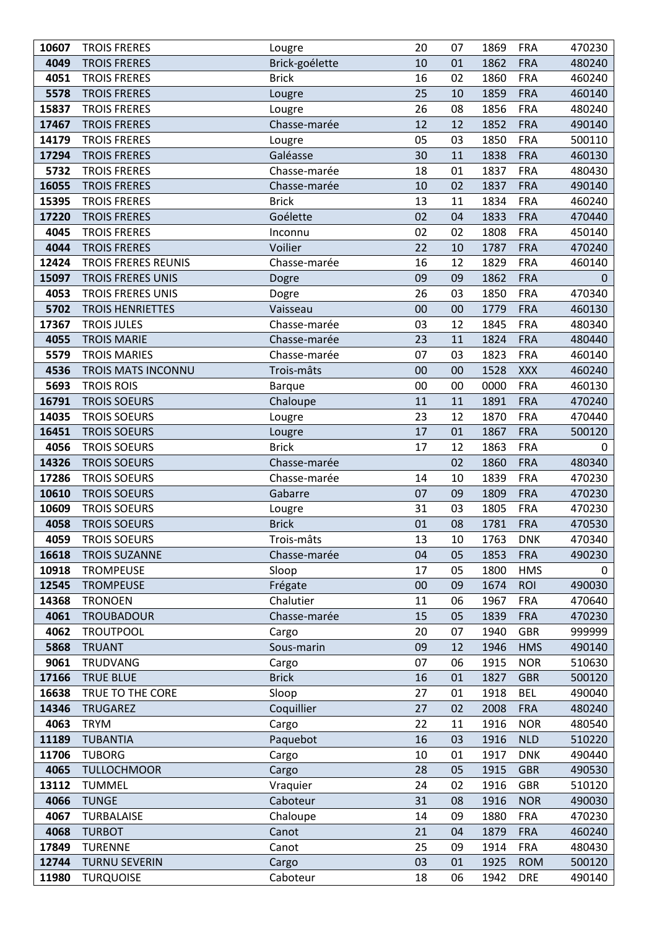| 10607 | <b>TROIS FRERES</b>        | Lougre         | 20 | 07 | 1869 | <b>FRA</b> | 470230       |
|-------|----------------------------|----------------|----|----|------|------------|--------------|
| 4049  | <b>TROIS FRERES</b>        | Brick-goélette | 10 | 01 | 1862 | <b>FRA</b> | 480240       |
| 4051  | <b>TROIS FRERES</b>        | <b>Brick</b>   | 16 | 02 | 1860 | <b>FRA</b> | 460240       |
| 5578  | <b>TROIS FRERES</b>        | Lougre         | 25 | 10 | 1859 | <b>FRA</b> | 460140       |
| 15837 | <b>TROIS FRERES</b>        | Lougre         | 26 | 08 | 1856 | <b>FRA</b> | 480240       |
| 17467 | <b>TROIS FRERES</b>        | Chasse-marée   | 12 | 12 | 1852 | <b>FRA</b> | 490140       |
| 14179 | <b>TROIS FRERES</b>        | Lougre         | 05 | 03 | 1850 | <b>FRA</b> | 500110       |
| 17294 | <b>TROIS FRERES</b>        | Galéasse       | 30 | 11 | 1838 | <b>FRA</b> | 460130       |
| 5732  | <b>TROIS FRERES</b>        | Chasse-marée   | 18 | 01 | 1837 | <b>FRA</b> | 480430       |
| 16055 | <b>TROIS FRERES</b>        | Chasse-marée   | 10 | 02 | 1837 | <b>FRA</b> | 490140       |
| 15395 | <b>TROIS FRERES</b>        | <b>Brick</b>   | 13 | 11 | 1834 | <b>FRA</b> | 460240       |
| 17220 | <b>TROIS FRERES</b>        | Goélette       | 02 | 04 | 1833 | <b>FRA</b> | 470440       |
| 4045  | <b>TROIS FRERES</b>        | Inconnu        | 02 | 02 | 1808 | <b>FRA</b> | 450140       |
| 4044  | <b>TROIS FRERES</b>        | Voilier        | 22 | 10 | 1787 | <b>FRA</b> | 470240       |
| 12424 | <b>TROIS FRERES REUNIS</b> | Chasse-marée   | 16 | 12 | 1829 | <b>FRA</b> | 460140       |
| 15097 | <b>TROIS FRERES UNIS</b>   | Dogre          | 09 | 09 | 1862 | <b>FRA</b> | $\mathbf{0}$ |
| 4053  | <b>TROIS FRERES UNIS</b>   | Dogre          | 26 | 03 | 1850 | <b>FRA</b> | 470340       |
| 5702  | <b>TROIS HENRIETTES</b>    | Vaisseau       | 00 | 00 | 1779 | <b>FRA</b> | 460130       |
| 17367 | <b>TROIS JULES</b>         | Chasse-marée   | 03 | 12 | 1845 | <b>FRA</b> | 480340       |
| 4055  | <b>TROIS MARIE</b>         | Chasse-marée   | 23 | 11 | 1824 | <b>FRA</b> | 480440       |
| 5579  | <b>TROIS MARIES</b>        | Chasse-marée   | 07 | 03 | 1823 | <b>FRA</b> | 460140       |
| 4536  | TROIS MATS INCONNU         | Trois-mâts     | 00 | 00 | 1528 | <b>XXX</b> | 460240       |
| 5693  | <b>TROIS ROIS</b>          | <b>Barque</b>  | 00 | 00 | 0000 | <b>FRA</b> | 460130       |
| 16791 | <b>TROIS SOEURS</b>        | Chaloupe       | 11 | 11 | 1891 | <b>FRA</b> | 470240       |
| 14035 | <b>TROIS SOEURS</b>        | Lougre         | 23 | 12 | 1870 | <b>FRA</b> | 470440       |
| 16451 | <b>TROIS SOEURS</b>        | Lougre         | 17 | 01 | 1867 | <b>FRA</b> | 500120       |
| 4056  | <b>TROIS SOEURS</b>        | <b>Brick</b>   | 17 | 12 | 1863 | <b>FRA</b> | 0            |
| 14326 | <b>TROIS SOEURS</b>        | Chasse-marée   |    | 02 | 1860 | <b>FRA</b> | 480340       |
| 17286 | <b>TROIS SOEURS</b>        | Chasse-marée   | 14 | 10 | 1839 | <b>FRA</b> | 470230       |
| 10610 | <b>TROIS SOEURS</b>        | Gabarre        | 07 | 09 | 1809 | <b>FRA</b> | 470230       |
| 10609 | <b>TROIS SOEURS</b>        | Lougre         | 31 | 03 | 1805 | <b>FRA</b> | 470230       |
| 4058  | <b>TROIS SOEURS</b>        | <b>Brick</b>   | 01 | 08 | 1781 | <b>FRA</b> | 470530       |
| 4059  | TROIS SOEURS               | Trois-mâts     | 13 | 10 | 1763 | <b>DNK</b> | 470340       |
| 16618 | <b>TROIS SUZANNE</b>       | Chasse-marée   | 04 | 05 | 1853 | <b>FRA</b> | 490230       |
| 10918 | <b>TROMPEUSE</b>           | Sloop          | 17 | 05 | 1800 | <b>HMS</b> | 0            |
| 12545 | <b>TROMPEUSE</b>           | Frégate        | 00 | 09 | 1674 | <b>ROI</b> | 490030       |
| 14368 | <b>TRONOEN</b>             | Chalutier      | 11 | 06 | 1967 | <b>FRA</b> | 470640       |
| 4061  | <b>TROUBADOUR</b>          | Chasse-marée   | 15 | 05 | 1839 | <b>FRA</b> | 470230       |
| 4062  | <b>TROUTPOOL</b>           | Cargo          | 20 | 07 | 1940 | <b>GBR</b> | 999999       |
| 5868  | <b>TRUANT</b>              | Sous-marin     | 09 | 12 | 1946 | <b>HMS</b> | 490140       |
| 9061  | <b>TRUDVANG</b>            | Cargo          | 07 | 06 | 1915 | <b>NOR</b> | 510630       |
| 17166 | <b>TRUE BLUE</b>           | <b>Brick</b>   | 16 | 01 | 1827 | <b>GBR</b> | 500120       |
| 16638 | TRUE TO THE CORE           | Sloop          | 27 | 01 | 1918 | <b>BEL</b> | 490040       |
| 14346 | TRUGAREZ                   | Coquillier     | 27 | 02 | 2008 | <b>FRA</b> | 480240       |
| 4063  | <b>TRYM</b>                | Cargo          | 22 | 11 | 1916 | <b>NOR</b> | 480540       |
| 11189 | <b>TUBANTIA</b>            | Paquebot       | 16 | 03 | 1916 | <b>NLD</b> | 510220       |
| 11706 | <b>TUBORG</b>              | Cargo          | 10 | 01 | 1917 | <b>DNK</b> | 490440       |
| 4065  | <b>TULLOCHMOOR</b>         | Cargo          | 28 | 05 | 1915 | <b>GBR</b> | 490530       |
| 13112 | <b>TUMMEL</b>              | Vraquier       | 24 | 02 | 1916 | <b>GBR</b> | 510120       |
| 4066  | <b>TUNGE</b>               | Caboteur       | 31 | 08 | 1916 | <b>NOR</b> | 490030       |
| 4067  | <b>TURBALAISE</b>          | Chaloupe       | 14 | 09 | 1880 | <b>FRA</b> | 470230       |
| 4068  | <b>TURBOT</b>              | Canot          | 21 | 04 | 1879 | <b>FRA</b> | 460240       |
| 17849 | <b>TURENNE</b>             | Canot          | 25 | 09 | 1914 | <b>FRA</b> | 480430       |
| 12744 | <b>TURNU SEVERIN</b>       | Cargo          | 03 | 01 | 1925 | <b>ROM</b> | 500120       |
| 11980 | <b>TURQUOISE</b>           | Caboteur       | 18 | 06 | 1942 | <b>DRE</b> | 490140       |